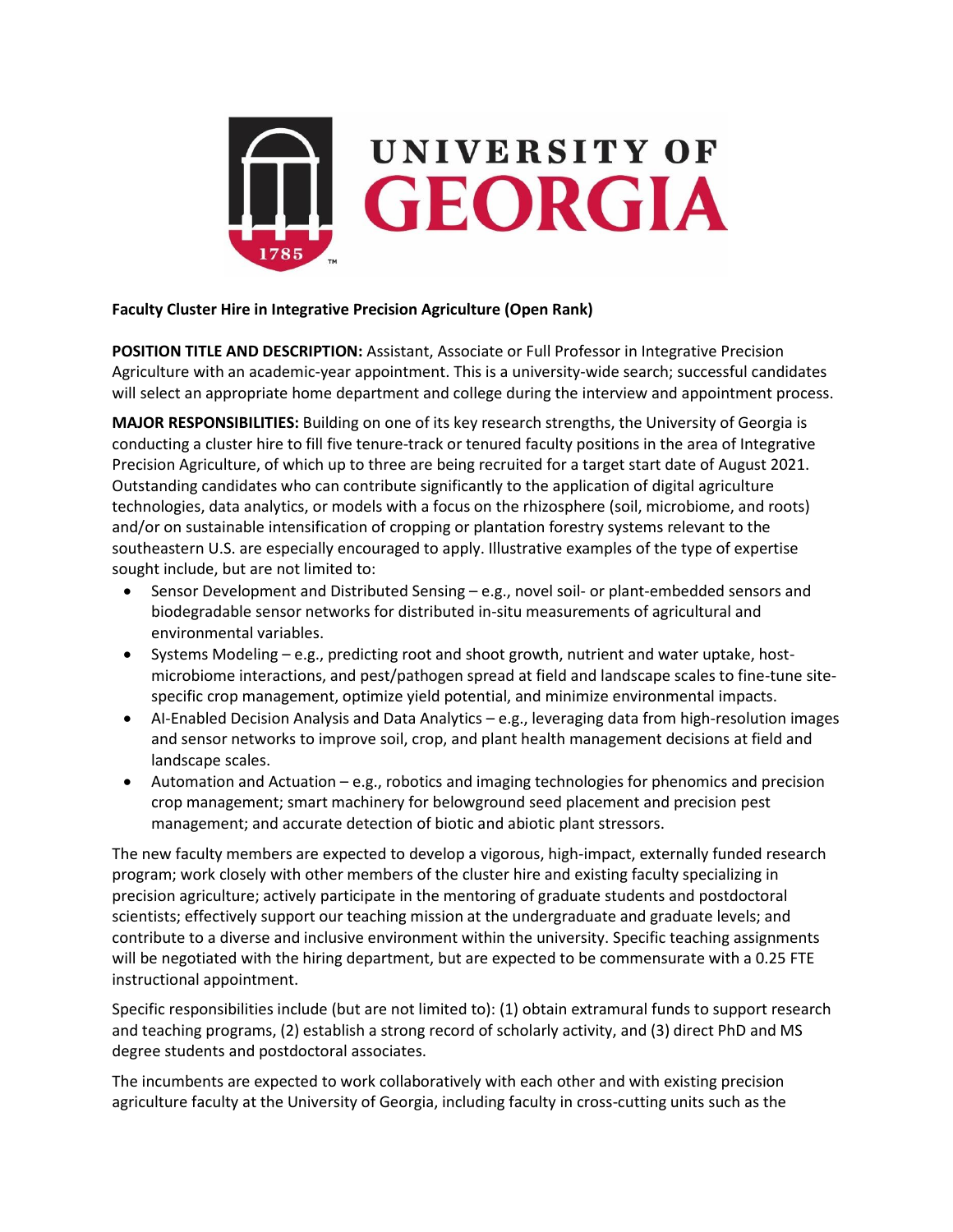

## **Faculty Cluster Hire in Integrative Precision Agriculture (Open Rank)**

**POSITION TITLE AND DESCRIPTION:** Assistant, Associate or Full Professor in Integrative Precision Agriculture with an academic-year appointment. This is a university-wide search; successful candidates will select an appropriate home department and college during the interview and appointment process.

**MAJOR RESPONSIBILITIES:** Building on one of its key research strengths, the University of Georgia is conducting a cluster hire to fill five tenure-track or tenured faculty positions in the area of Integrative Precision Agriculture, of which up to three are being recruited for a target start date of August 2021. Outstanding candidates who can contribute significantly to the application of digital agriculture technologies, data analytics, or models with a focus on the rhizosphere (soil, microbiome, and roots) and/or on sustainable intensification of cropping or plantation forestry systems relevant to the southeastern U.S. are especially encouraged to apply. Illustrative examples of the type of expertise sought include, but are not limited to:

- Sensor Development and Distributed Sensing e.g., novel soil- or plant-embedded sensors and biodegradable sensor networks for distributed in-situ measurements of agricultural and environmental variables.
- Systems Modeling e.g., predicting root and shoot growth, nutrient and water uptake, hostmicrobiome interactions, and pest/pathogen spread at field and landscape scales to fine-tune sitespecific crop management, optimize yield potential, and minimize environmental impacts.
- AI-Enabled Decision Analysis and Data Analytics e.g., leveraging data from high-resolution images and sensor networks to improve soil, crop, and plant health management decisions at field and landscape scales.
- Automation and Actuation e.g., robotics and imaging technologies for phenomics and precision crop management; smart machinery for belowground seed placement and precision pest management; and accurate detection of biotic and abiotic plant stressors.

The new faculty members are expected to develop a vigorous, high-impact, externally funded research program; work closely with other members of the cluster hire and existing faculty specializing in precision agriculture; actively participate in the mentoring of graduate students and postdoctoral scientists; effectively support our teaching mission at the undergraduate and graduate levels; and contribute to a diverse and inclusive environment within the university. Specific teaching assignments will be negotiated with the hiring department, but are expected to be commensurate with a 0.25 FTE instructional appointment.

Specific responsibilities include (but are not limited to): (1) obtain extramural funds to support research and teaching programs, (2) establish a strong record of scholarly activity, and (3) direct PhD and MS degree students and postdoctoral associates.

The incumbents are expected to work collaboratively with each other and with existing precision agriculture faculty at the University of Georgia, including faculty in cross-cutting units such as the